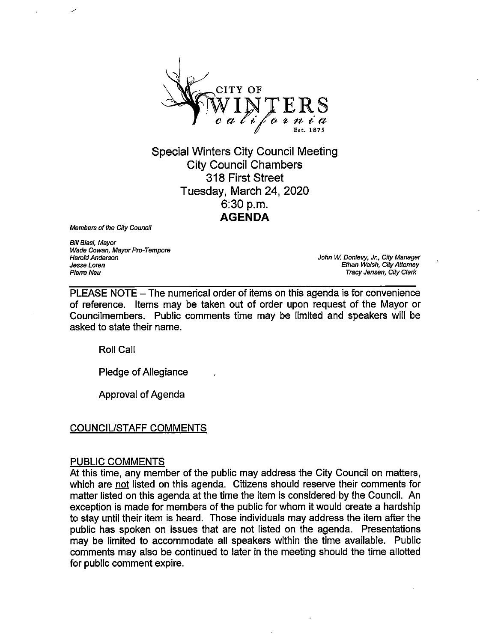

Special Winters City Council Meeting City Councii Chambers 318 First Street Tuesday, March 24, 2020 6:30 p.m. AGENDA

Members of the City Council

Bill Biasi, Mayor Wade Cowan, Mayor Pro-Tempore Harold Anderson Jesse Loren Pierre Neu

John W. Donlevy, Jr., City Manager Ethan Walsh, City Attorney Tracy Jensen, City Clerk

PLEASE NOTE – The numerical order of items on this agenda is for convenience of reference. Items may be taken out of order upon request of the Mayor or Councilmembers. Public comments time may be limited and speakers will be asked to state their name.

Roll Call

Pledge of Allegiance

Approval of Agenda

## COUNCIL/STAFF COMMENTS

#### PUBLIC COMMENTS

At this time, any member of the public may address the City Council on matters, which are not listed on this agenda. Citizens should reserve their comments for matter listed on this agenda at the time the item is considered by the Council. An exception is made for members of the public for whom it would create a hardship to stay until their item is heard. Those individuals may address the item after the public has spoken on issues that are not listed on the agenda. Presentations may be limited to accommodate all speakers within the time available. Public comments may also be continued to later in the meeting should the time allotted for public comment expire.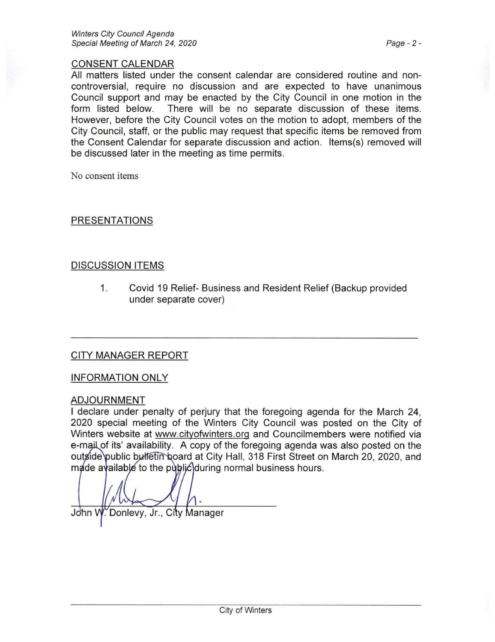## CONSENT CALENDAR

All matters listed under the consent calendar are considered routine and noncontroversial, require no discussion and are expected to have unanimous Council support and may be enacted by the City Council in one motion in the form listed below. There will be no separate discussion of these items. However, before the City Council votes on the motion to adopt, members of the City Council, staff, or the public may request that specific items be removed from the Consent Calendar for separate discussion and action. Items(s) removed will be discussed later in the meeting as time permits.

No consent items

## PRESENTATIONS

# DISCUSSION ITEMS

1. Covid 19 Relief- Business and Resident Relief (Backup provided under separate cover)

## CITY MANAGER REPORT

INFORMATION ONLY

#### ADJOURNMENT

I declare under penalty of perjury that the foregoing agenda for the March 24, 2020 special meeting of the Winters City Council was posted on the City of Winters website at www.citvofwinters.orq and Councilmembers were notified via e-mail of its' availability. A copy of the foregoing agenda was also posted on the outside public bulletin board at City Hall, 318 First Street on March 20, 2020, and  $m$ ade available to the public during normal business hours.

John W. Donlevy, Jr., City Manager